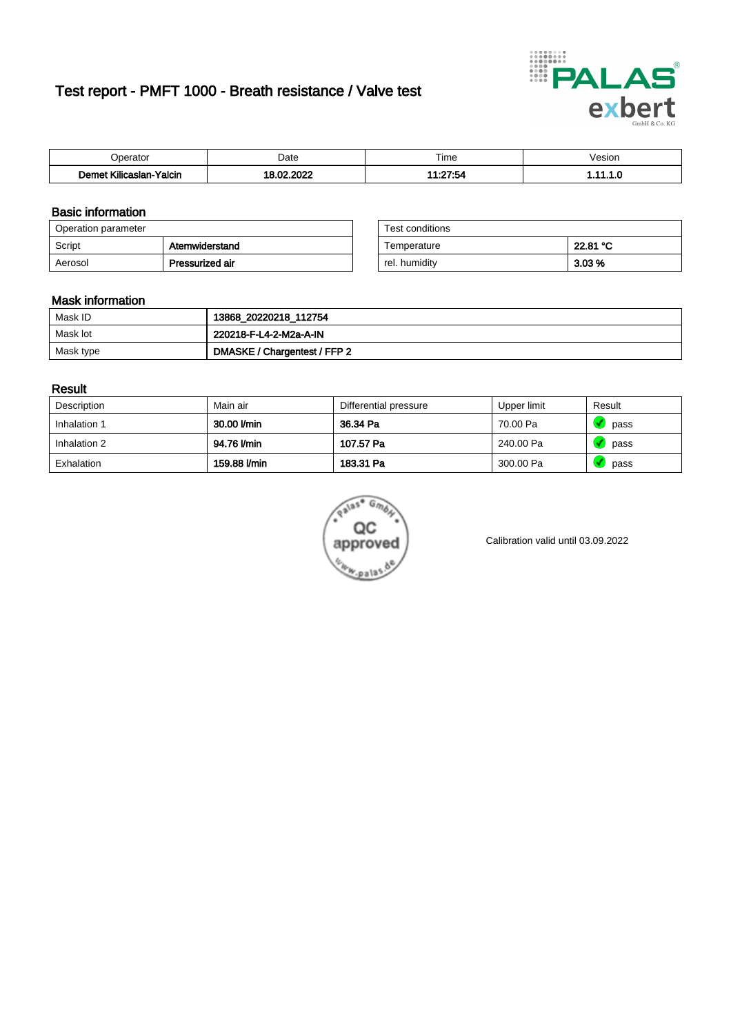# Test report - PMFT 1000 - Breath resistance / Valve test



| n<br>aw                                                   | Date | $- \cdot$<br>l ime | esion/ |
|-----------------------------------------------------------|------|--------------------|--------|
| -<br><b>SAMP</b><br>Yalcin<br>aslan<br>KIIIC <sup>2</sup> | 000  | 27:54<br>.         | . v    |

### Basic information

| Operation parameter |                 | Test conditions |          |
|---------------------|-----------------|-----------------|----------|
| Script              | Atemwiderstand  | Temperature     | 22.81 °C |
| Aerosol             | Pressurized air | rel. humidity   | $3.03\%$ |

| Test conditions |          |
|-----------------|----------|
| Temperature     | 22.81 °C |
| rel. humidity   | 3.03%    |

### Mask information

| Mask ID   | 13868_20220218_112754        |
|-----------|------------------------------|
| Mask lot  | 220218-F-L4-2-M2a-A-IN       |
| Mask type | DMASKE / Chargentest / FFP 2 |

### Result

| Description  | Main air     | Differential pressure | Upper limit | Result |
|--------------|--------------|-----------------------|-------------|--------|
| Inhalation 1 | 30.00 l/min  | 36.34 Pa              | 70.00 Pa    | pass   |
| Inhalation 2 | 94.76 l/min  | 107.57 Pa             | 240.00 Pa   | pass   |
| Exhalation   | 159.88 l/min | 183.31 Pa             | 300.00 Pa   | pass   |



Calibration valid until 03.09.2022